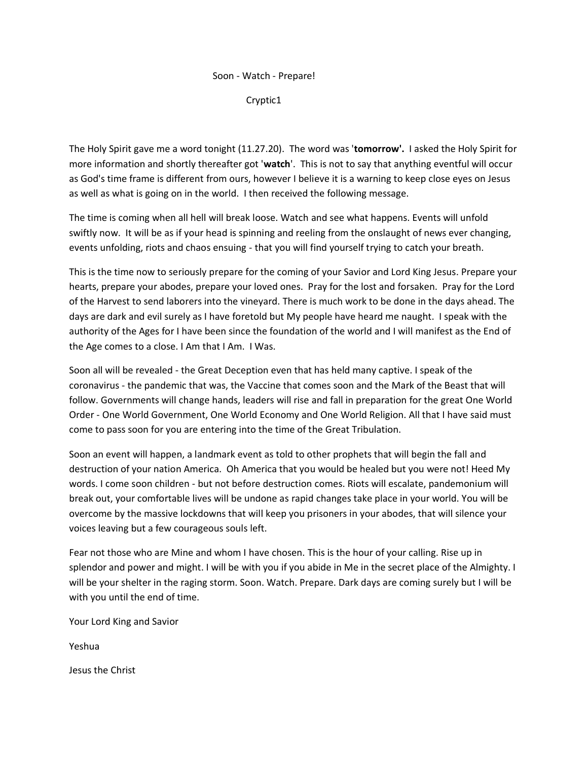## Soon - Watch - Prepare!

Cryptic1

The Holy Spirit gave me a word tonight (11.27.20). The word was '**tomorrow'.** I asked the Holy Spirit for more information and shortly thereafter got '**watch**'. This is not to say that anything eventful will occur as God's time frame is different from ours, however I believe it is a warning to keep close eyes on Jesus as well as what is going on in the world. I then received the following message.

The time is coming when all hell will break loose. Watch and see what happens. Events will unfold swiftly now. It will be as if your head is spinning and reeling from the onslaught of news ever changing, events unfolding, riots and chaos ensuing - that you will find yourself trying to catch your breath.

This is the time now to seriously prepare for the coming of your Savior and Lord King Jesus. Prepare your hearts, prepare your abodes, prepare your loved ones. Pray for the lost and forsaken. Pray for the Lord of the Harvest to send laborers into the vineyard. There is much work to be done in the days ahead. The days are dark and evil surely as I have foretold but My people have heard me naught. I speak with the authority of the Ages for I have been since the foundation of the world and I will manifest as the End of the Age comes to a close. I Am that I Am. I Was.

Soon all will be revealed - the Great Deception even that has held many captive. I speak of the coronavirus - the pandemic that was, the Vaccine that comes soon and the Mark of the Beast that will follow. Governments will change hands, leaders will rise and fall in preparation for the great One World Order - One World Government, One World Economy and One World Religion. All that I have said must come to pass soon for you are entering into the time of the Great Tribulation.

Soon an event will happen, a landmark event as told to other prophets that will begin the fall and destruction of your nation America. Oh America that you would be healed but you were not! Heed My words. I come soon children - but not before destruction comes. Riots will escalate, pandemonium will break out, your comfortable lives will be undone as rapid changes take place in your world. You will be overcome by the massive lockdowns that will keep you prisoners in your abodes, that will silence your voices leaving but a few courageous souls left.

Fear not those who are Mine and whom I have chosen. This is the hour of your calling. Rise up in splendor and power and might. I will be with you if you abide in Me in the secret place of the Almighty. I will be your shelter in the raging storm. Soon. Watch. Prepare. Dark days are coming surely but I will be with you until the end of time.

Your Lord King and Savior

Yeshua

Jesus the Christ